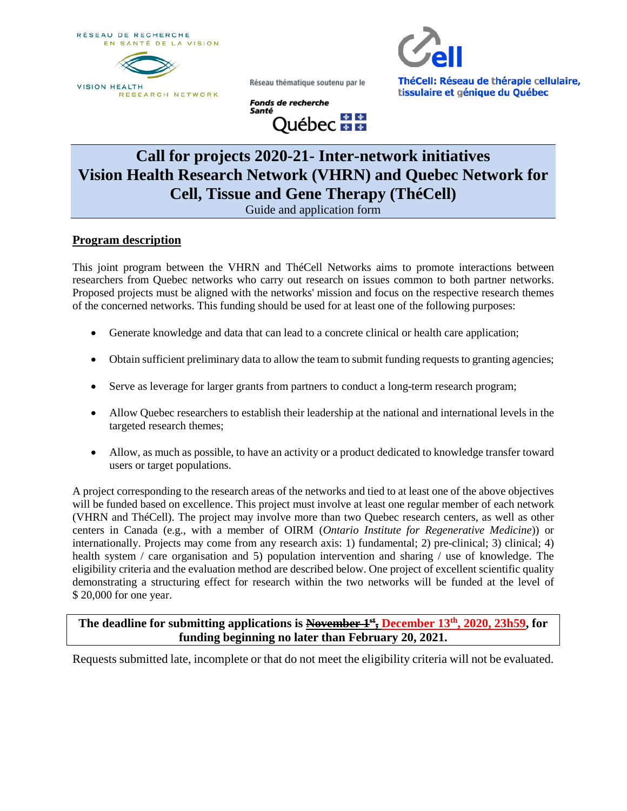RÉSEAU DE RECHERCHE EN SANTÉ DE LA VISION





ThéCell: Réseau de thérapie cellulaire, tissulaire et génique du Québec

**Fonds de recherche** Santé <u>,</u><br>Québec <del>M</del>™

Réseau thématique soutenu par le

# **Call for projects 2020-21- Inter-network initiatives Vision Health Research Network (VHRN) and Quebec Network for Cell, Tissue and Gene Therapy (ThéCell)**

Guide and application form

## **Program description**

This joint program between the VHRN and ThéCell Networks aims to promote interactions between researchers from Quebec networks who carry out research on issues common to both partner networks. Proposed projects must be aligned with the networks' mission and focus on the respective research themes of the concerned networks. This funding should be used for at least one of the following purposes:

- Generate knowledge and data that can lead to a concrete clinical or health care application;
- Obtain sufficient preliminary data to allow the team to submit funding requests to granting agencies;
- Serve as leverage for larger grants from partners to conduct a long-term research program;
- Allow Quebec researchers to establish their leadership at the national and international levels in the targeted research themes;
- Allow, as much as possible, to have an activity or a product dedicated to knowledge transfer toward users or target populations.

A project corresponding to the research areas of the networks and tied to at least one of the above objectives will be funded based on excellence. This project must involve at least one regular member of each network (VHRN and ThéCell). The project may involve more than two Quebec research centers, as well as other centers in Canada (e.g., with a member of OIRM (*Ontario Institute for Regenerative Medicine*)) or internationally. Projects may come from any research axis: 1) fundamental; 2) pre-clinical; 3) clinical; 4) health system / care organisation and 5) population intervention and sharing / use of knowledge. The eligibility criteria and the evaluation method are described below. One project of excellent scientific quality demonstrating a structuring effect for research within the two networks will be funded at the level of \$ 20,000 for one year.

## **The deadline for submitting applications is November 1st, December 13th, 2020, 23h59, for funding beginning no later than February 20, 2021.**

Requests submitted late, incomplete or that do not meet the eligibility criteria will not be evaluated.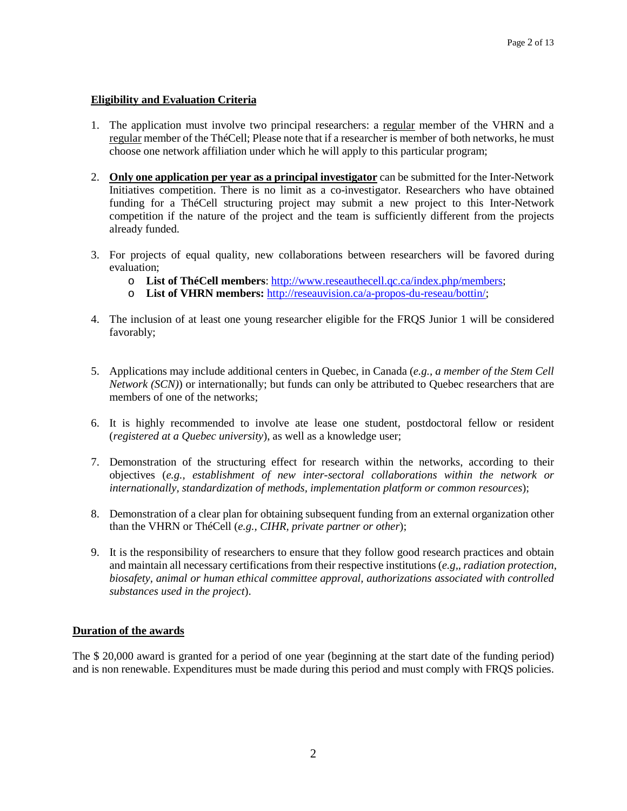#### **Eligibility and Evaluation Criteria**

- 1. The application must involve two principal researchers: a regular member of the VHRN and a regular member of the ThéCell; Please note that if a researcher is member of both networks, he must choose one network affiliation under which he will apply to this particular program;
- 2. **Only one application per year as a principal investigator** can be submitted for the Inter-Network Initiatives competition. There is no limit as a co-investigator. Researchers who have obtained funding for a ThéCell structuring project may submit a new project to this Inter-Network competition if the nature of the project and the team is sufficiently different from the projects already funded.
- 3. For projects of equal quality, new collaborations between researchers will be favored during evaluation;
	- o **List of ThéCell members**: [http://www.reseauthecell.qc.ca/index.php/members;](http://www.reseauthecell.qc.ca/index.php/members)
	- o **List of VHRN members:** [http://reseauvision.ca/a-propos-du-reseau/bottin/;](http://reseauvision.ca/a-propos-du-reseau/bottin/)
- 4. The inclusion of at least one young researcher eligible for the FRQS Junior 1 will be considered favorably;
- 5. Applications may include additional centers in Quebec, in Canada (*e.g., a member of the Stem Cell Network (SCN)*) or internationally; but funds can only be attributed to Quebec researchers that are members of one of the networks;
- 6. It is highly recommended to involve ate lease one student, postdoctoral fellow or resident (*registered at a Quebec university*), as well as a knowledge user;
- 7. Demonstration of the structuring effect for research within the networks, according to their objectives (*e.g., establishment of new inter-sectoral collaborations within the network or internationally, standardization of methods, implementation platform or common resources*);
- 8. Demonstration of a clear plan for obtaining subsequent funding from an external organization other than the VHRN or ThéCell (*e.g., CIHR, private partner or other*);
- 9. It is the responsibility of researchers to ensure that they follow good research practices and obtain and maintain all necessary certifications from their respective institutions (*e.g,, radiation protection, biosafety, animal or human ethical committee approval, authorizations associated with controlled substances used in the project*).

#### **Duration of the awards**

The \$ 20,000 award is granted for a period of one year (beginning at the start date of the funding period) and is non renewable. Expenditures must be made during this period and must comply with FRQS policies.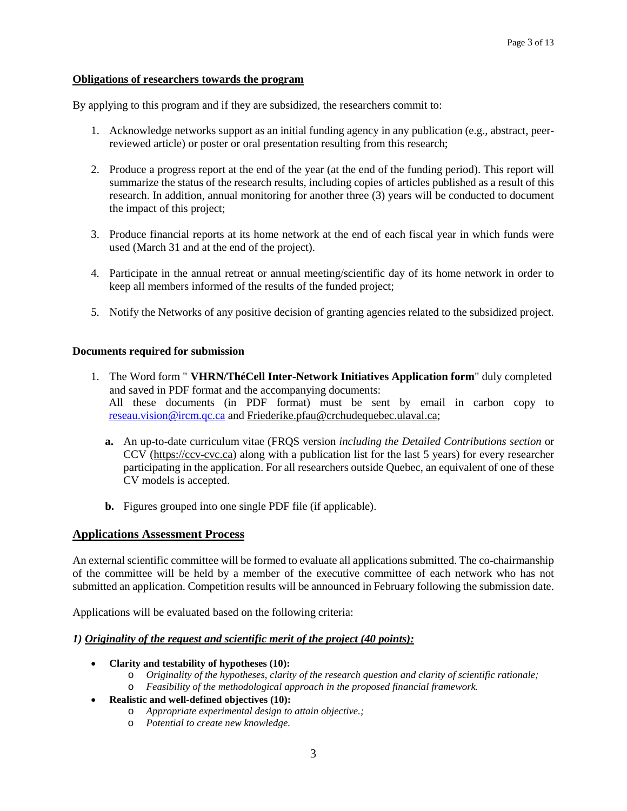#### **Obligations of researchers towards the program**

By applying to this program and if they are subsidized, the researchers commit to:

- 1. Acknowledge networks support as an initial funding agency in any publication (e.g., abstract, peerreviewed article) or poster or oral presentation resulting from this research;
- 2. Produce a progress report at the end of the year (at the end of the funding period). This report will summarize the status of the research results, including copies of articles published as a result of this research. In addition, annual monitoring for another three (3) years will be conducted to document the impact of this project;
- 3. Produce financial reports at its home network at the end of each fiscal year in which funds were used (March 31 and at the end of the project).
- 4. Participate in the annual retreat or annual meeting/scientific day of its home network in order to keep all members informed of the results of the funded project;
- 5. Notify the Networks of any positive decision of granting agencies related to the subsidized project.

#### **Documents required for submission**

- 1. The Word form " **VHRN/ThéCell Inter-Network Initiatives Application form**" duly completed and saved in PDF format and the accompanying documents: All these documents (in PDF format) must be sent by email in carbon copy to [reseau.vision@ircm.qc.ca](mailto:reseau.vision@ircm.qc.ca) and [Friederike.pfau@crchudequebec.ulaval.ca;](mailto:Friederike.pfau@crchudequebec.ulaval.ca)
	- **a.** An up-to-date curriculum vitae (FRQS version *including the Detailed Contributions section* or CCV [\(https://ccv-cvc.ca\)](https://ccv-cvc.ca/) along with a publication list for the last 5 years) for every researcher participating in the application. For all researchers outside Quebec, an equivalent of one of these CV models is accepted.
	- **b.** Figures grouped into one single PDF file (if applicable).

#### **Applications Assessment Process**

An external scientific committee will be formed to evaluate all applications submitted. The co-chairmanship of the committee will be held by a member of the executive committee of each network who has not submitted an application. Competition results will be announced in February following the submission date.

Applications will be evaluated based on the following criteria:

#### *1) Originality of the request and scientific merit of the project (40 points):*

- **Clarity and testability of hypotheses (10):**
	- o *Originality of the hypotheses, clarity of the research question and clarity of scientific rationale;*
	- o *Feasibility of the methodological approach in the proposed financial framework.*
	- **Realistic and well-defined objectives (10):**
		- o *Appropriate experimental design to attain objective.;*
		- o *Potential to create new knowledge.*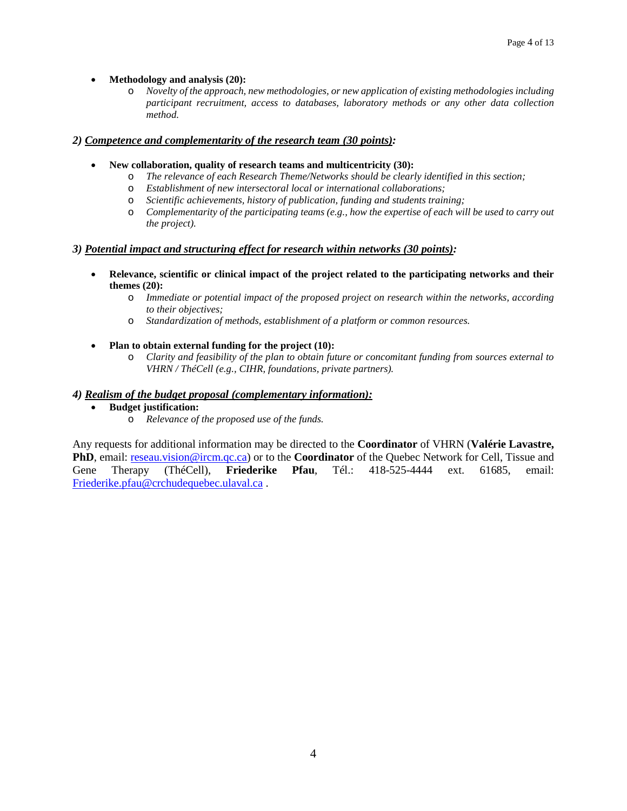#### • **Methodology and analysis (20):**

o *Novelty of the approach, new methodologies, or new application of existing methodologies including participant recruitment, access to databases, laboratory methods or any other data collection method.*

#### *2) Competence and complementarity of the research team (30 points):*

- **New collaboration, quality of research teams and multicentricity (30):**
	- o *The relevance of each Research Theme/Networks should be clearly identified in this section;*
	- o *Establishment of new intersectoral local or international collaborations;*
	- o *Scientific achievements, history of publication, funding and students training;*
	- o *Complementarity of the participating teams (e.g., how the expertise of each will be used to carry out the project).*

#### *3) Potential impact and structuring effect for research within networks (30 points):*

- **Relevance, scientific or clinical impact of the project related to the participating networks and their themes (20):**
	- o *Immediate or potential impact of the proposed project on research within the networks, according to their objectives;*
	- o *Standardization of methods, establishment of a platform or common resources.*
- **Plan to obtain external funding for the project (10):**
	- o *Clarity and feasibility of the plan to obtain future or concomitant funding from sources external to VHRN / ThéCell (e.g., CIHR, foundations, private partners).*

#### *4) Realism of the budget proposal (complementary information):*

- **Budget justification:**
	- o *Relevance of the proposed use of the funds.*

Any requests for additional information may be directed to the **Coordinator** of VHRN (**Valérie Lavastre, PhD**, email: [reseau.vision@ircm.qc.ca\)](mailto:reseau.vision@ircm.qc.ca) or to the **Coordinator** of the Quebec Network for Cell, Tissue and Gene Therapy (ThéCell), **Friederike Pfau**, Tél.: 418-525-4444 ext. 61685, email: [Friederike.pfau@crchudequebec.ulaval.ca](mailto:Friederike.pfau@crchudequebec.ulaval.ca) .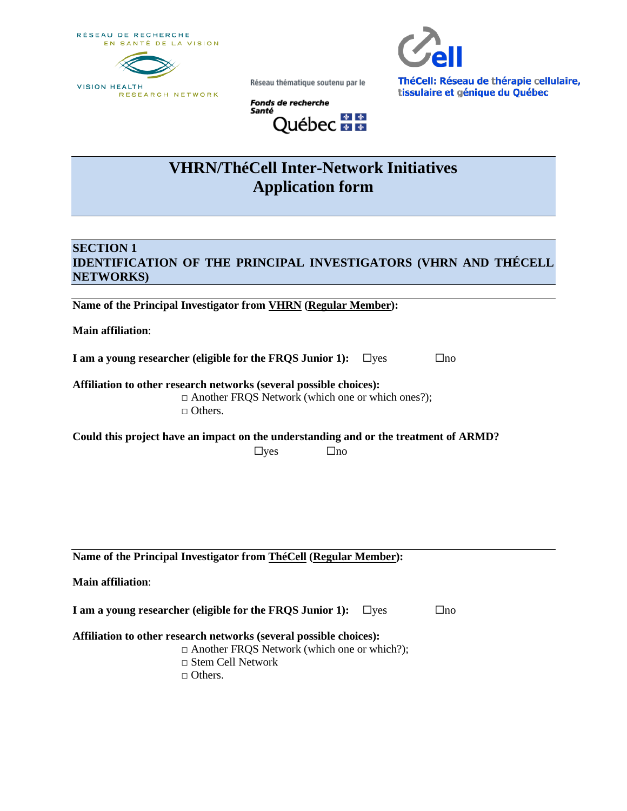RÉSEAU DE RECHERCHE EN SANTÉ DE LA VISION





ThéCell: Réseau de thérapie cellulaire, tissulaire et génique du Québec

**Fonds de recherche** Santé Québec **ME** 

Réseau thématique soutenu par le

# **VHRN/ThéCell Inter-Network Initiatives Application form**

## **SECTION 1 IDENTIFICATION OF THE PRINCIPAL INVESTIGATORS (VHRN AND THÉCELL NETWORKS)**

**Name of the Principal Investigator from VHRN (Regular Member):** 

**Main affiliation**:

**I am a young researcher (eligible for the FRQS Junior 1):** □yes □no

**Affiliation to other research networks (several possible choices):** □ Another FRQS Network (which one or which ones?); □ Others.

| Could this project have an impact on the understanding and or the treatment of ARMD? |            |      |  |
|--------------------------------------------------------------------------------------|------------|------|--|
|                                                                                      | $\Box$ yes | `Jno |  |

**Name of the Principal Investigator from ThéCell (Regular Member):** 

| <b>Main affiliation:</b>                                  |            |     |
|-----------------------------------------------------------|------------|-----|
| I am a young researcher (eligible for the FROS Junior 1): | $\Box$ ves | ⊐no |

**Affiliation to other research networks (several possible choices):**

- □ Another FRQS Network (which one or which?);
- □ Stem Cell Network
- □ Others.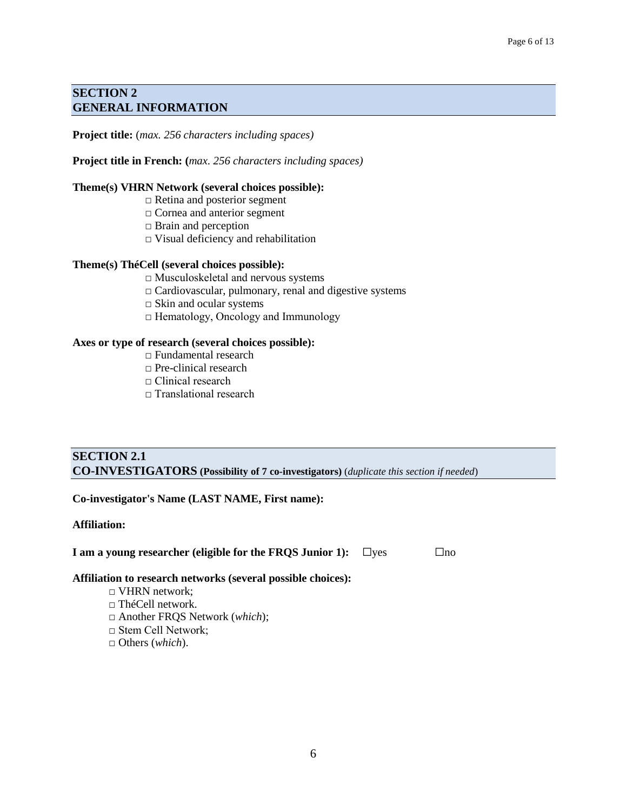## **SECTION 2 GENERAL INFORMATION**

**Project title:** (*max. 256 characters including spaces)*

#### **Project title in French: (***max. 256 characters including spaces)*

#### **Theme(s) VHRN Network (several choices possible):**

- □ Retina and posterior segment
	- □ Cornea and anterior segment
	- □ Brain and perception
	- $\Box$  Visual deficiency and rehabilitation

#### **Theme(s) ThéCell (several choices possible):**

- □ Musculoskeletal and nervous systems
- $\Box$  Cardiovascular, pulmonary, renal and digestive systems
- $\Box$  Skin and ocular systems
- □ Hematology, Oncology and Immunology

#### **Axes or type of research (several choices possible):**

- □ Fundamental research
- □ Pre-clinical research
- □ Clinical research
- $\Box$  Translational research

| <b>SECTION 2.1</b>                                                                             |  |
|------------------------------------------------------------------------------------------------|--|
| <b>CO-INVESTIGATORS</b> (Possibility of 7 co-investigators) (duplicate this section if needed) |  |

#### **Co-investigator's Name (LAST NAME, First name):**

#### **Affiliation:**

**I** am a young researcher (eligible for the FRQS Junior 1): □ yes □no

**Affiliation to research networks (several possible choices):**

- □ VHRN network;
- $\Box$  ThéCell network.
- □ Another FRQS Network (*which*);
- □ Stem Cell Network;
- □ Others (*which*).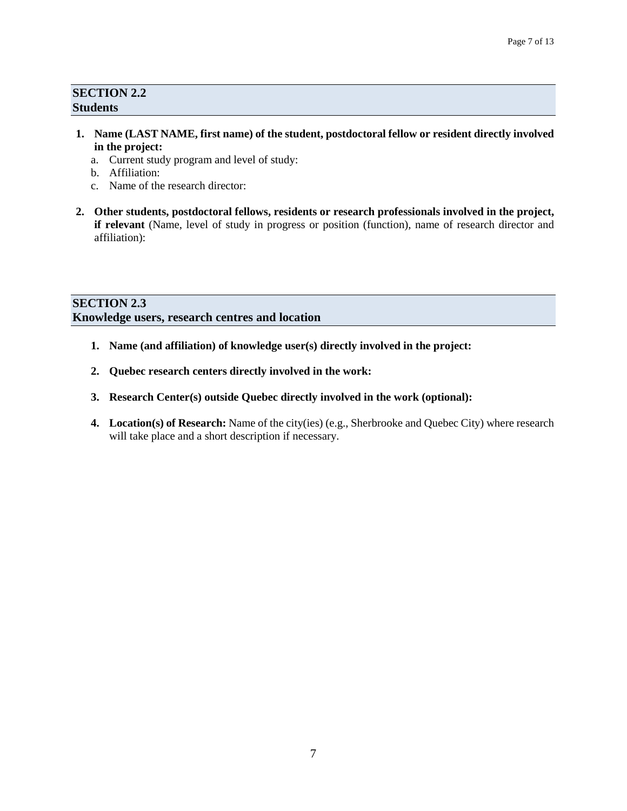## **SECTION 2.2 Students**

- **1. Name (LAST NAME, first name) of the student, postdoctoral fellow or resident directly involved in the project:**
	- a. Current study program and level of study:
	- b. Affiliation:
	- c. Name of the research director:
- **2. Other students, postdoctoral fellows, residents or research professionals involved in the project, if relevant** (Name, level of study in progress or position (function), name of research director and affiliation):

## **SECTION 2.3 Knowledge users, research centres and location**

- **1. Name (and affiliation) of knowledge user(s) directly involved in the project:**
- **2. Quebec research centers directly involved in the work:**
- **3. Research Center(s) outside Quebec directly involved in the work (optional):**
- **4. Location(s) of Research:** Name of the city(ies) (e.g., Sherbrooke and Quebec City) where research will take place and a short description if necessary.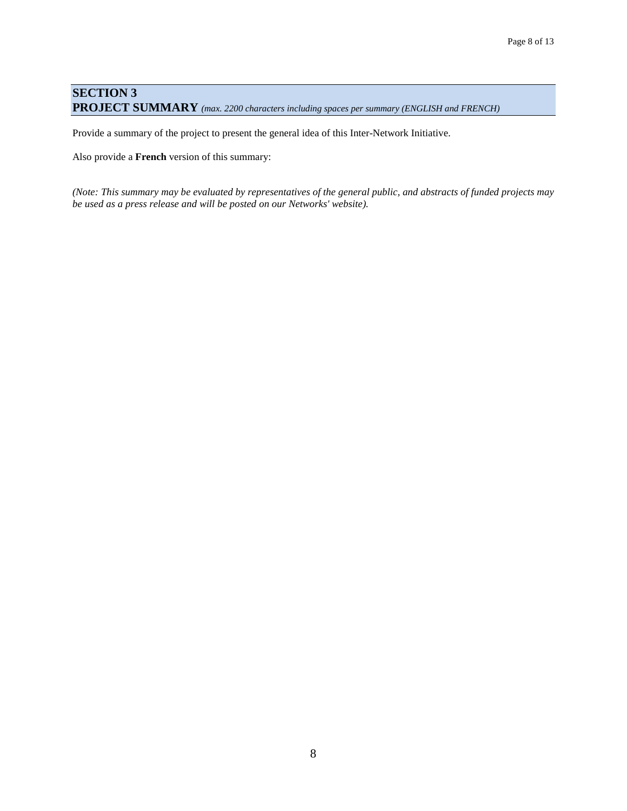## **SECTION 3 PROJECT SUMMARY** *(max. 2200 characters including spaces per summary (ENGLISH and FRENCH)*

Provide a summary of the project to present the general idea of this Inter-Network Initiative.

Also provide a **French** version of this summary:

*(Note: This summary may be evaluated by representatives of the general public, and abstracts of funded projects may be used as a press release and will be posted on our Networks' website).*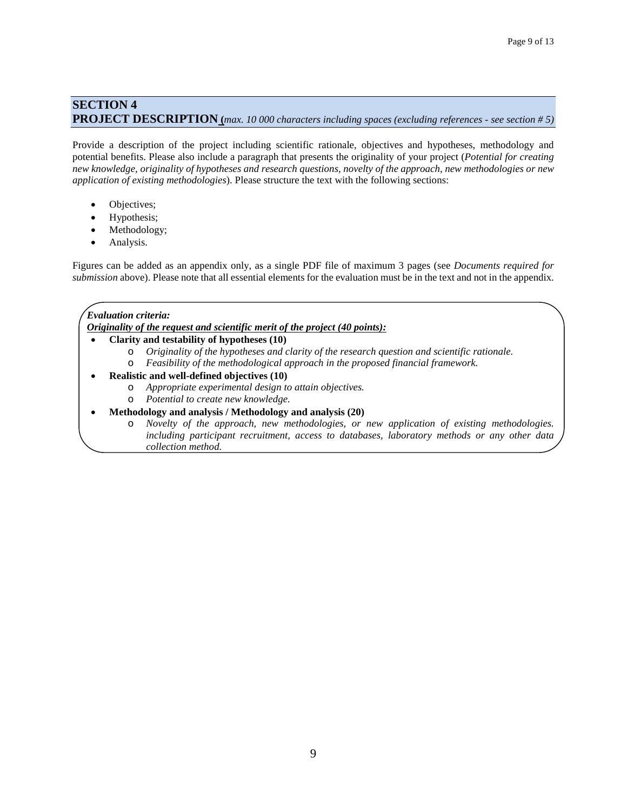## **SECTION 4 PROJECT DESCRIPTION (***max. 10 000 characters including spaces (excluding references - see section # 5)*

Provide a description of the project including scientific rationale, objectives and hypotheses, methodology and potential benefits. Please also include a paragraph that presents the originality of your project (*Potential for creating new knowledge, originality of hypotheses and research questions, novelty of the approach, new methodologies or new application of existing methodologies*). Please structure the text with the following sections:

- Objectives;
- Hypothesis;
- Methodology;
- Analysis.

Figures can be added as an appendix only, as a single PDF file of maximum 3 pages (see *Documents required for submission* above). Please note that all essential elements for the evaluation must be in the text and not in the appendix.

#### *Evaluation criteria:*

*Originality of the request and scientific merit of the project (40 points):*

- **Clarity and testability of hypotheses (10)**
	- o *Originality of the hypotheses and clarity of the research question and scientific rationale.*
	- o *Feasibility of the methodological approach in the proposed financial framework.*
- **Realistic and well-defined objectives (10)**
	- o *Appropriate experimental design to attain objectives.*
	- o *Potential to create new knowledge.*
- **Methodology and analysis / Methodology and analysis (20)**
	- o *Novelty of the approach, new methodologies, or new application of existing methodologies. including participant recruitment, access to databases, laboratory methods or any other data collection method.*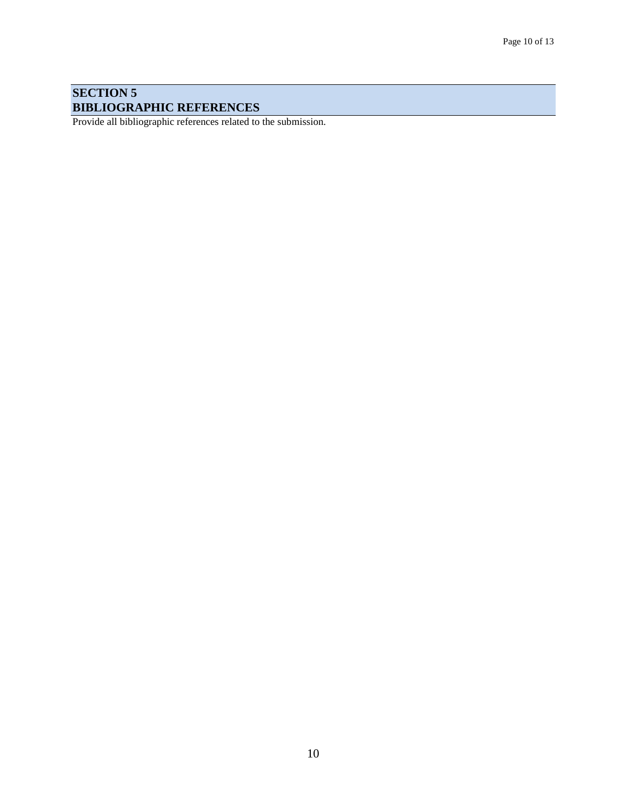## **SECTION 5 BIBLIOGRAPHIC REFERENCES**

Provide all bibliographic references related to the submission.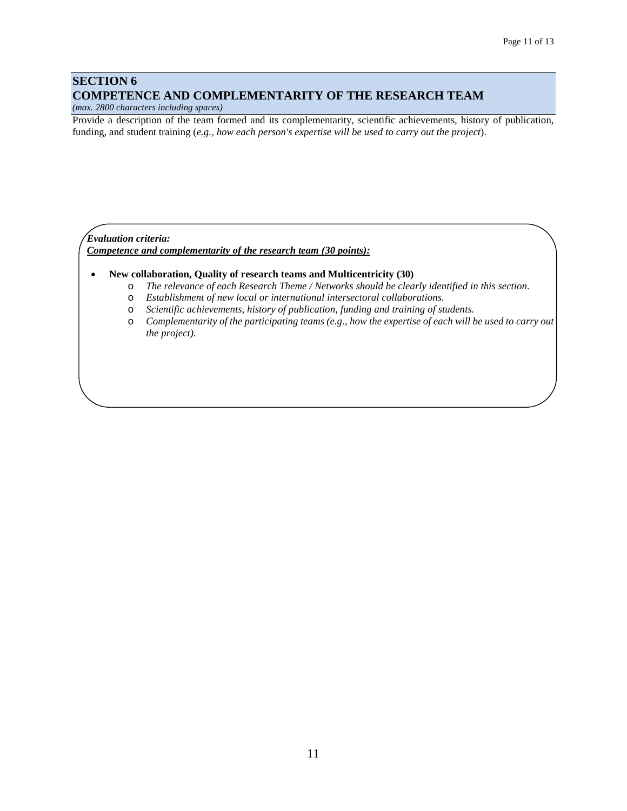#### **SECTION 6 COMPETENCE AND COMPLEMENTARITY OF THE RESEARCH TEAM**

*(max. 2800 characters including spaces)*

Provide a description of the team formed and its complementarity, scientific achievements, history of publication, funding, and student training (*e.g., how each person's expertise will be used to carry out the project*).

#### *Evaluation criteria: Competence and complementarity of the research team (30 points):*

- **New collaboration, Quality of research teams and Multicentricity (30)**
	- o *The relevance of each Research Theme / Networks should be clearly identified in this section.*
	- o *Establishment of new local or international intersectoral collaborations.*
	- o *Scientific achievements, history of publication, funding and training of students.*
	- o *Complementarity of the participating teams (e.g., how the expertise of each will be used to carry out the project).*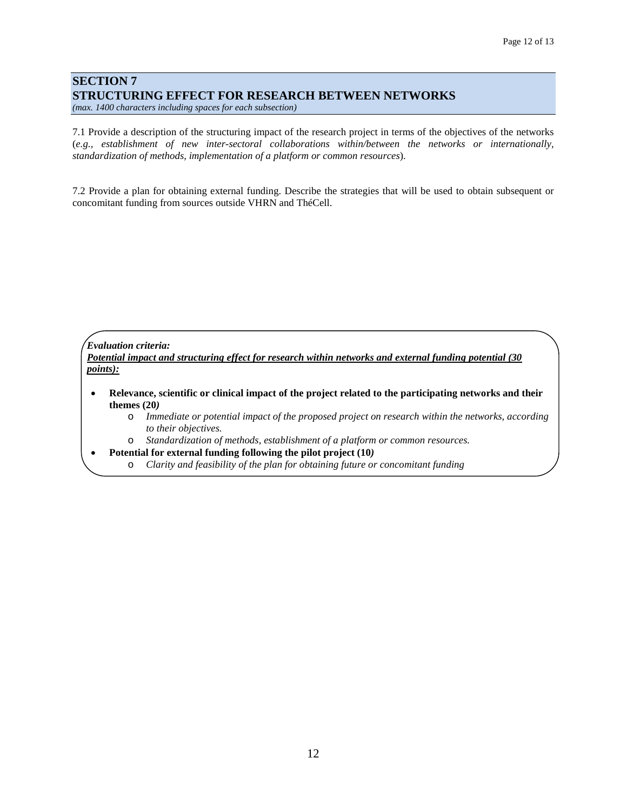### **SECTION 7 STRUCTURING EFFECT FOR RESEARCH BETWEEN NETWORKS**

*(max. 1400 characters including spaces for each subsection)*

7.1 Provide a description of the structuring impact of the research project in terms of the objectives of the networks (*e.g., establishment of new inter-sectoral collaborations within/between the networks or internationally, standardization of methods, implementation of a platform or common resources*).

7.2 Provide a plan for obtaining external funding. Describe the strategies that will be used to obtain subsequent or concomitant funding from sources outside VHRN and ThéCell.

*Evaluation criteria:*

*Potential impact and structuring effect for research within networks and external funding potential (30 points):*

- **Relevance, scientific or clinical impact of the project related to the participating networks and their themes (20***)*
	- o *Immediate or potential impact of the proposed project on research within the networks, according to their objectives.*
	- o *Standardization of methods, establishment of a platform or common resources.*

• **Potential for external funding following the pilot project (10***)*

o *Clarity and feasibility of the plan for obtaining future or concomitant funding*